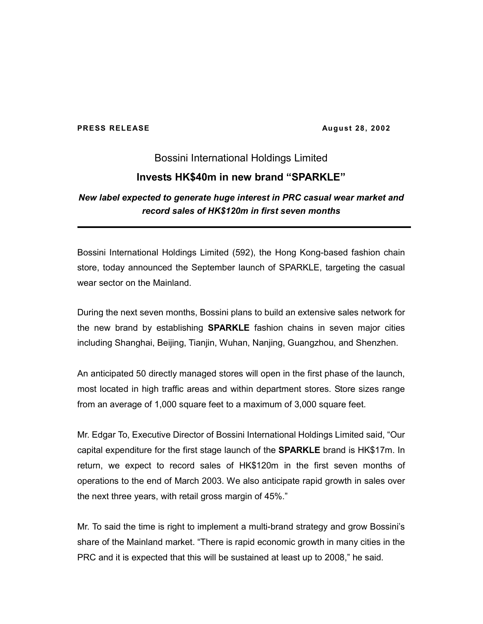#### **PRESS RELEASE August 28, 2002**

# Bossini International Holdings Limited **Invests HK\$40m in new brand "SPARKLE"**

## *New label expected to generate huge interest in PRC casual wear market and record sales of HK\$120m in first seven months*

Bossini International Holdings Limited (592), the Hong Kong-based fashion chain store, today announced the September launch of SPARKLE, targeting the casual wear sector on the Mainland.

During the next seven months, Bossini plans to build an extensive sales network for the new brand by establishing **SPARKLE** fashion chains in seven major cities including Shanghai, Beijing, Tianjin, Wuhan, Nanjing, Guangzhou, and Shenzhen.

An anticipated 50 directly managed stores will open in the first phase of the launch, most located in high traffic areas and within department stores. Store sizes range from an average of 1,000 square feet to a maximum of 3,000 square feet.

Mr. Edgar To, Executive Director of Bossini International Holdings Limited said, "Our capital expenditure for the first stage launch of the **SPARKLE** brand is HK\$17m. In return, we expect to record sales of HK\$120m in the first seven months of operations to the end of March 2003. We also anticipate rapid growth in sales over the next three years, with retail gross margin of 45%."

Mr. To said the time is right to implement a multi-brand strategy and grow Bossini's share of the Mainland market. "There is rapid economic growth in many cities in the PRC and it is expected that this will be sustained at least up to 2008," he said.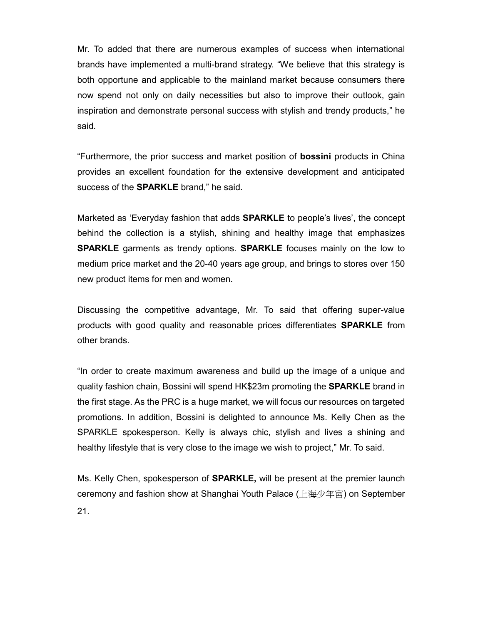Mr. To added that there are numerous examples of success when international brands have implemented a multi-brand strategy. "We believe that this strategy is both opportune and applicable to the mainland market because consumers there now spend not only on daily necessities but also to improve their outlook, gain inspiration and demonstrate personal success with stylish and trendy products," he said.

"Furthermore, the prior success and market position of **bossini** products in China provides an excellent foundation for the extensive development and anticipated success of the **SPARKLE** brand," he said.

Marketed as 'Everyday fashion that adds **SPARKLE** to people's lives', the concept behind the collection is a stylish, shining and healthy image that emphasizes **SPARKLE** garments as trendy options. **SPARKLE** focuses mainly on the low to medium price market and the 20-40 years age group, and brings to stores over 150 new product items for men and women.

Discussing the competitive advantage, Mr. To said that offering super-value products with good quality and reasonable prices differentiates **SPARKLE** from other brands.

"In order to create maximum awareness and build up the image of a unique and quality fashion chain, Bossini will spend HK\$23m promoting the **SPARKLE** brand in the first stage. As the PRC is a huge market, we will focus our resources on targeted promotions. In addition, Bossini is delighted to announce Ms. Kelly Chen as the SPARKLE spokesperson. Kelly is always chic, stylish and lives a shining and healthy lifestyle that is very close to the image we wish to project," Mr. To said.

Ms. Kelly Chen, spokesperson of **SPARKLE,** will be present at the premier launch ceremony and fashion show at Shanghai Youth Palace (上海少年宮) on September 21.